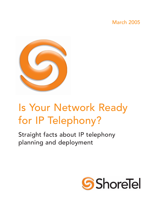## March 2005



# Is Your Network Ready for IP Telephony?

Straight facts about IP telephony planning and deployment

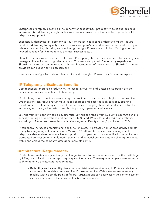

Enterprises are rapidly adopting IP telephony for cost savings, productivity gains and business innovation, but delivering a high quality voice service takes more than just buying the latest IP telephony equipment.

Successfully deploying IP telephony to your enterprise also means understanding the requirements for delivering toll-quality voice over your company's network infrastructure, and then appropriately planning for, choosing and deploying the right IP telephony solution. Making sure the network is ready for IP telephony is a critical success factor.

ShoreTel, the innovation leader in enterprise IP telephony, has set new standards for usability and manageability while reducing telecom costs. To ensure an optimal IP telephony experience, ShoreTel requires customers to have a thorough assessment of their networks. ShoreTel's solutions providers can assist with this assessment.

Here are the straight facts about planning for and deploying IP telephony in your enterprise.

#### IP Telephony's Business Benefits

Cost reduction, improved productivity, increased innovation and better collaboration are the measurable business benefits of IP telephony.

IP telephony offers significant cost savings by providing an alternative to high cost toll services. Organizations can reduce recurring voice toll charges and slash the high cost of supporting remote offices. IP telephony also enables enterprises to simplify their data and voice networks into a single converged infrastructure, thus improving operational efficiency.

Savings from IP telephony can be substantial. Savings can range from \$9,600 to \$28,000 per site annually for large organizations and between \$4,800 and \$9,600 for mid-sized organizations, according to Nemertes Research's study "Convergence: Reality at Last," published in 2004.

IP telephony increases organizations' ability to innovate. It increases worker productivity and efficiency by integrating call handling with Microsoft® Outlook® for efficient call management. IP telephony also enables collaborative and productivity operations such as unified communications, distributed contact centers, multimedia training and spreadsheet and data file sharing. Business, within and across the company, gets done more efficiently.

### Architectural Requirements

IP telephony creates an opportunity for IT organizations to deliver superior service than with legacy PBXs, but delivering an enterprise-quality service means IT managers must pay close attention to IP telephony's architectural requirements.

• Reliability and scalability: Because of a distributed architecture, IP PBXs can deliver a more reliable, scalable voice service. For example, ShoreTel's systems are extremely reliable with no single point of failure. Organizations can easily scale their phone system as their needs grow. Expansion is flexible and seamless.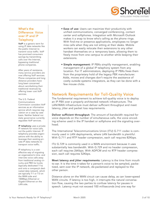

#### What's the Difference: Voice over IP and IP Telephony

VoIP is a generic term for using IP data networks like the public Internet to transmit voice traffic. VoIP has promised consumers savings by transmitting calls over the Internet, bypassing traditional phone companies.

After years of resistance, many service providers are now offering VoIP services. Phone companies and long distance providers have long been concerned about cannibalizing their traditional revenues by offering lower cost VoIP services.

The U.S. Federal Communications Commission considers VoIP services as an information service which requires regulation on a case by case basis. Neither federal nor state governance currently regulates VoIP services.

IP telephony uses a private IP network for voice calls, not the public Internet. IP telephony provides organizations with the ability to leverage their existing private IP data networks to transport voice traffic.

IP telephony is a costeffective way of migrating an organization's intra- and inter-site voice calls away from traditional analog circuitry and PBX tie trunks (typically dedicated T-1s) and onto a company's dedicated data network, which are typically T-1 or T-3 on the WAN side and 100Mbps Ethernet or Gigabit Ethernet on the LAN side.

- Ease of use: Users can maximize their productivity with unified communications, converged conferencing, contact center and softphones. Integration with Microsoft Outlook makes it a snap to know who's calling as the phone rings. With find-me or presence applications, employees no longer miss calls when they are not sitting at their desks. Mobile workers can easily relocate their extensions to any other handset themselves on a temporary basis, allowing them to freely move from one campus to another while keeping their extensions.
- Simple management: IP PBXs simplify management, enabling management of a global IP telephony system from any location. For IT administrators, deploying IP PBXs frees them from the proprietary hold of the legacy PBX manufacturer. Adds, moves and changes don't require the assistance of costly outside systems integrators, as they can be done with a few mouse clicks.

## Network Requirements for Toll-Quality Voice

The fundamental requirement to achieve toll-quality voice is to deploy an IP PBX over a properly architected network infrastructure. The LAN/WAN infrastructure must deliver sufficient throughput and meet latency, jitter and packet loss requirements.

Deliver sufficient throughput: The amount of bandwidth required for voice depends on the number of simultaneous calls, the voice encoding scheme used in the IP handset or softphone and the signaling overhead.

The International Telecommunications Union (ITU) G.711 codec is commonly used in LAN deployments, where LAN bandwidth is plentiful. With G.711 and RTP header compression, each call requires 82Kbps.

ITU G.729 is commonly used in a WAN environment because it uses substantially less bandwidth. With G.729 and no header compression, each call requires 26Kbps. With ADPCM and no RTP header compression, each call requires 52Kbps.

Meet latency and jitter requirements: Latency is the time from mouth to ear. It is the time it takes for a person's voice to be sampled, packetized, sent over the IP network, de-packetized and replayed to the other person.

Distance alone on the WAN circuit can cause delay, as can lower-speed WAN circuits. If latency is too high, it interrupts the natural conversation flow, causing the two parties to confuse latency for pauses in speech. Latency must not exceed 100 milliseconds (ms) one way for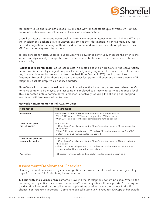

toll-quality voice and must not exceed 150 ms one way for acceptable quality voice. At 150 ms, delays are noticeable, but callers can still carry on a conversation.

Users hear jitter as degraded voice quality. Jitter is variation in latency over the LAN and WAN, as the IP telephony packets arrive in uneven patterns at their destination. Jitter has many sources: network congestion, queuing methods used in routers and switches, or routing options such as MPLS or frame relay used by carriers.

To compensate for jitter, ShoreTel's ShoreGear voice switches continually measure the jitter in the system and dynamically change the size of jitter receive buffers in 5 ms increments to optimize voice quality.

Packet loss requirements: Packet loss results in a metallic sound or dropouts in the conversation. Packet loss is caused by congestion, poor line quality and geographical distance. Since IP telephony is a real-time audio service that uses the Real Time Protocol (RTP) running over User Datagram Protocol (UDP), there's no way to recover lost packets. If even one or two percent of IP telephony packets drop, voice quality degrades.

ShoreGear's lost packet concealment capability reduces the impact of packet loss. When there's no voice sample to be played, the last sample is replayed to a receiving party at a reduced level. This is repeated until a nominal level is reached, effectively reducing the clicking and popping associated with low levels of packet loss.

| Parameter                                    | Requirement                                                                                                                                                                                                                                                   |
|----------------------------------------------|---------------------------------------------------------------------------------------------------------------------------------------------------------------------------------------------------------------------------------------------------------------|
| <b>Bandwidth</b>                             | • With ADPCM and no RTP header compression: 52Kbps per call<br>. With G.729a and no RTP header compression: 26Kbps per call<br>· With G.711 and no RTP header compression: 82Kbps per call                                                                    |
| Latency and jitter<br>for toll-quality       | $\bullet$ <100 ms total<br>• 100 ms less 42 ms allocated for the ShoreTel5 system yields a 58 ms budget for<br>the network<br>• When G.729a encoding is used, 100 ms less 62 ms allocation for the ShoreTel5<br>system yields a 38 ms budget for the network  |
| Latency and jitter for<br>acceptable quality | $\bullet$ <150 ms total<br>• 150 ms less 42 ms allocated for the ShoreTel5 system yields a 108 ms budget for<br>the network<br>• When G.729a encoding is used, 150 ms less 62 ms allocation for the ShoreTel5<br>system yields a 88 ms budget for the network |
| Packet loss                                  | • <1 percent for voice calls and no packet loss for fax and modem calls                                                                                                                                                                                       |

Network Requirements for Toll-Quality Voice

## Assessment/Deployment Checklist

Planning, network assessment, systems integration, deployment and remote monitoring are key steps for a successful IP telephony implementation.

1. Start with the business requirements. How will the IP telephony system be used? What is the frequency and quantity of calls over the network? How many sites will be supported? The required bandwidth will depend on the call volume, applications used and even the codecs in the IP phones. For instance, supporting 10 simultaneous calls using G.711 requires 820Kbps of bandwidth.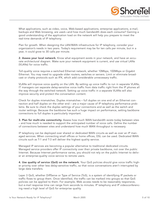

What applications, such as video, voice, Web-based applications, enterprise applications, e-mail, backups and Web browsing, are used—and how much bandwidth does each consume? Gaining a good understanding of the application load on the network will help you prepare to meet the real-time demands of IP telephony.

Plan for growth. When designing the LAN/WAN infrastructure for IP telephony, consider your organization's needs in two years. Today's requirement may be for ten calls per minute, but in a year, it could grow to 30 calls per minute.

2. Assess your local network. Know what equipment exists in your network, and have an accurate architectural diagram. Make sure your network equipment is current, and use virtual LANs (VLANs) for voice traffic.

Toll-quality voice requires a switched Ethernet network, whether 10Mbps, 100Mbps or Gigabit Ethernet. You may need to upgrade older routers, switches or servers. Limit or eliminate broadcast or chatty protocols such as IPX, which add considerable unnecessary traffic.

VLANs will improve voice quality on the LAN. By setting up voice traffic to run in separate VLANs, IT managers can separate delay-sensitive voice traffic from data traffic right from the IP phones all the way through the switched network. Setting up voice traffic in a separate VLANs will also improve security and protect the conversation content.

Check for duplex mismatches. Duplex mismatches – full duplex on one end of an Ethernet connection and half duplex on the other end – are a major cause of IP telephony performance problems. Be sure to check the duplex settings of your connections and as well as the switch and router settings. Because the backbone has such a huge impact on performance, setting backbone connections to full duplex is particularly important.

3. Plan for multi-site connectivity. Assess how much WAN bandwidth exists today between sites – and how much is needed to support the anticipated number of voice calls. Define the number of connections between sites and understand how much WAN throughput is necessary.

IP telephony can be deployed over shared or dedicated WAN circuits as well as over an IP managed services. When connecting small offices or home offices, DSL can be used. Dedicated WAN circuits such as T-1 and T-3 will deliver the highest quality service.

Managed IP services are becoming a popular alternative to traditional dedicated circuits. Managed service providers offer IP connectivity over their private backbone, not over the public Internet. Because Internet performance varies, you should not rely on the public Internet to deliver an enterprise-quality voice service to remote users.

4. Use quality of service (QoS) on the network. Your QoS policies should give voice traffic higher priority over other less delay-sensitive traffic, so that voice conversations aren't interrupted by large data transfers.

Layer 3 QoS, whether DiffServe or Type of Service (ToS), is a system of identifying IP packets or traffic flows to group them. Once identified, the traffic can be marked into groups so that QoS policies can be applied to them. For example, Web access needs to be reasonably responsive, but e-mail response time can range from seconds to minutes. IP telephony and IP videoconferencing need a high level of QoS for enterprise quality.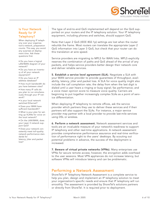

#### Is Your Network Ready for IP Telephony?

When deploying IP telephony over your organization's network, preparation counts. This way, you avoid any surprises at deployment time. Ask these questions first:

• Do you have a logical LAN/WAN diagram of your network?

• Do you have an inventory of all your network equipment?

• Do you have an IP address database?

• How much bandwidth do you have between sites?

• How many IP calls do you plan to run simultaneously through your IP network?

• Is your local network switched Ethernet?

• Does your WAN have sufficient bandwidth?

• What is your plan for setting up VLANs for voice on the local network?

• On the LAN/WAN, does your Layer 3 network support QoS?

• Does your network consistently meet toll-quality network performance standards for

latency, jitter and packet loss?

The type of end-to-end QoS implemented will depend on the QoS supported on your routers and the IP telephony solution. Your IP telephony equipment, including phones and switches, should support QoS.

Note that Layer 2 QoS (IEEE 802.1p) settings are lost when the router rebuilds the frame. Most routers can translate the appropriate Layer 2 QoS information into Layer 3 QoS, but check that your router can do this translation at wire speed.

Service providers are migrating to MPLS for WAN links. MPLS explicitly reserves the combination of paths and QoS ahead of the arrival of any packets, and helps service providers better design their network core and deliver reliable services.

5. Establish a service level agreement (SLA). Negotiate a SLA with your WAN service provider to provide guarantees of throughput, availability, latency, jitter and packet loss. A SLA for voice quality might also include the call completion rate; the delay from when the last digit is dialed until a user hears a ringing or busy signal; fax performance; and a voice mean opinion score to measure voice quality. Carriers are beginning to put together increasingly complex SLAs as a point of service differentiation.

When deploying IP telephony to remote offices, ask the service provider which partners they use to deliver these services and if their partners will also support the SLAs. For instance, a major service provider may partner with a local provider to provide last-mile services using DSL or wireless.

6. Perform a network assessment. Network assessment services and tools are an invaluable measure of your network's readiness to support IP telephony and other real-time applications. A network assessment provides comprehensive performance assurance and real-time verification of performance right to the users' desktops. By scouting out potential problems in advance, the success of the deployment is increased.

7. Beware of virtual private networks (VPNs). Many enterprises use VPNs for secure remote access; however, the encryption adds overhead to the user sessions. Most VPN appliances do not increase latency, but software VPNs will introduce latency and can be problematic.

### Performing a Network Assessment

ShoreTel's IP Telephony Network Assessment is a complete service to help you plan, design and implement an IP telephony solution to meet your organization's specific needs and ensure that IP telephony will run smoothly. The assessment is provided by ShoreTel's solutions partners or directly from ShoreTel. It is required prior to deployment.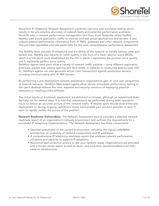

ShoreTel's IP Telephony Network Assessment combines real-time and simulated testing which results in the pre-emptive discovery of network faults and potential performance problems. ShoreTel uses a network performance management tool from Viola Networks called NetAlly. NetAlly uses active application traffic to monitor and test actual applications and servers. It also collects passive performance information from IP PBXs, gateways and other network components. This provides repeatable and real-world tests for the most comprehensive performance assessment.

The NetAlly tests simulate IP telephony and the ability of the network to handle latency, jitter and packet loss. NetAlly also reports on voice quality in the form of a mean opinion score (MOS), which is a five-point scale established by the ITU in which 1 represents the poorest voice quality and 5 represents perfect voice quality.

NetAlly's agents send each other a variety of network traffic packets – using different application protocols, packet size, packet spacing and QoS levels. In addition to measuring peer-to-peer traffic, NetAlly's agents can also generate actual client transactions against production servers, including communicating with IP PBX servers.

By performing a pre-deployment network assessment, organizations gain an end-user perspective of network behavior. NetAlly's Web-based agents allow almost immediate performance testing to the user's desktop without the time, expense and security concerns of deploying physical resources or installing client software.

The initial results of a network assessment are delivered in minutes, although an assessment tests typically run for several days. It is vital that assessments be performed during peak operation hours to ensure an accurate picture of the network traffic. If trouble spots should arise either predeployment or during ongoing operations, these tools enable your solution provider or your IT team to rapidly isolate the source of the problem.

Network Readiness Deliverables: The Network Assessment service provides a detailed network readiness report of an organization's network environment and outlines the requirements for a successful IP telephony implementation. The Network Assessment has three components:

- Detailed assessment of the current environment, including the logical LAN/WAN architecture, an inventory of network components and IP addresses.
- A comprehensive IP telephony readiness report that analyzes network performance, utilization and capacity to support IP telephony.
- Recommended corrective actions to get your network ready. Organizations are provided with a known-issues report as well as short- and long-term recommendations for their network infrastructure.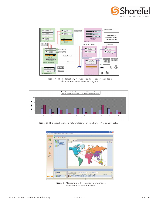



Figure 1: The IP Telephony Network Readiness report includes a detailed LAN/WAN network diagram.



Figure 2: This snapshot shows network latency by number of IP telephony calls.



Figure 3: Monitoring of IP telephony performance across the distributed network.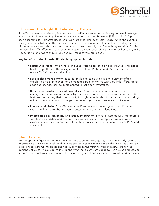

## Choosing the Right IP Telephony Partner

ShoreTel delivers an unrivaled, feature-rich, cost-effective solution that is easy to install, manage and maintain. Implementing IP telephony costs an organization between \$525 and \$1,512 per user, according to Nemertes Research's "Convergence: Reality at Last" study. While the eventual savings can be substantial, the startup costs depend on a number of variables, including the size of the enterprise and which vendor companies chose to supply the IP telephony solution. At \$18 per user, ShoreTel offers the least-expensive start-up costs, according to Nemertes Research, while Cisco, Nortel and Avaya at \$73, \$50 and \$31 respectively, are higher.

#### Key benefits of the ShoreTel IP telephony system include:

- Distributed reliability. ShoreTel IP phone systems are built on a distributed, embedded hardware platform with no single point of failure. IP phone and PSTN failover further ensure 99.999 percent reliability.
- Best-in-class management. Ideal for multi-site companies, a single-view interface enables a global IP network to be managed from anywhere with very little effort. Moves, adds and changes can be implemented in just a few keystrokes.
- Unmatched productivity and ease of use. ShoreTel has the most intuitive call management interface in the industry. Users can choose and customize more than 400 features, maximizing their productivity through powerful desktop applications, including unified communications, converged conferencing, contact center and softphone.
- Phenomenal clarity. ShoreTel leverages IP to deliver superior system and IP phone sound quality – often better than is possible over traditional landlines.
- Interoperability, scalability and legacy integration. ShoreTel systems fully interoperate with leading switches and routers. They scale gracefully for rapid or gradual system expansion and easily integrate with existing legacy phone equipment, such as PBXs and voicemail.

#### Start Talking

With proper configuration, IP telephony delivers superior voice quality at a significantly lower cost of ownership. Delivering a toll-quality voice service means choosing the right IP PBX solution, an experienced systems integrator and thoroughly preparing your network infrastructure for the demands of voice. Make sure your LAN and WAN have sufficient capacity. Use VLANs and QoS as appropriate. A network assessment will ensure that your phone calls come through loud and clear.